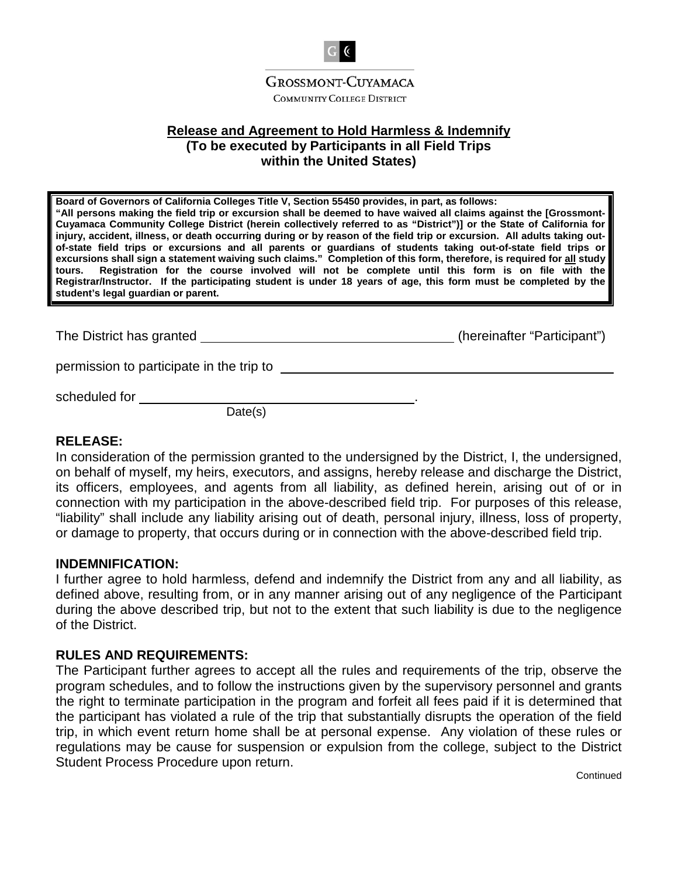

**COMMUNITY COLLEGE DISTRICT** 

# **Release and Agreement to Hold Harmless & Indemnify (To be executed by Participants in all Field Trips within the United States)**

**Board of Governors of California Colleges Title V, Section 55450 provides, in part, as follows: "All persons making the field trip or excursion shall be deemed to have waived all claims against the [Grossmont-Cuyamaca Community College District (herein collectively referred to as "District")] or the State of California for injury, accident, illness, or death occurring during or by reason of the field trip or excursion. All adults taking outof-state field trips or excursions and all parents or guardians of students taking out-of-state field trips or excursions shall sign a statement waiving such claims." Completion of this form, therefore, is required for all study tours. Registration for the course involved will not be complete until this form is on file with the Registrar/Instructor. If the participating student is under 18 years of age, this form must be completed by the student's legal guardian or parent.** 

The District has granted  $($ hereinafter "Participant")

permission to participate in the trip to

scheduled for .

Date(s)

# **RELEASE:**

In consideration of the permission granted to the undersigned by the District, I, the undersigned, on behalf of myself, my heirs, executors, and assigns, hereby release and discharge the District, its officers, employees, and agents from all liability, as defined herein, arising out of or in connection with my participation in the above-described field trip. For purposes of this release, "liability" shall include any liability arising out of death, personal injury, illness, loss of property, or damage to property, that occurs during or in connection with the above-described field trip.

#### **INDEMNIFICATION:**

I further agree to hold harmless, defend and indemnify the District from any and all liability, as defined above, resulting from, or in any manner arising out of any negligence of the Participant during the above described trip, but not to the extent that such liability is due to the negligence of the District.

# **RULES AND REQUIREMENTS:**

The Participant further agrees to accept all the rules and requirements of the trip, observe the program schedules, and to follow the instructions given by the supervisory personnel and grants the right to terminate participation in the program and forfeit all fees paid if it is determined that the participant has violated a rule of the trip that substantially disrupts the operation of the field trip, in which event return home shall be at personal expense. Any violation of these rules or regulations may be cause for suspension or expulsion from the college, subject to the District Student Process Procedure upon return.

**Continued**